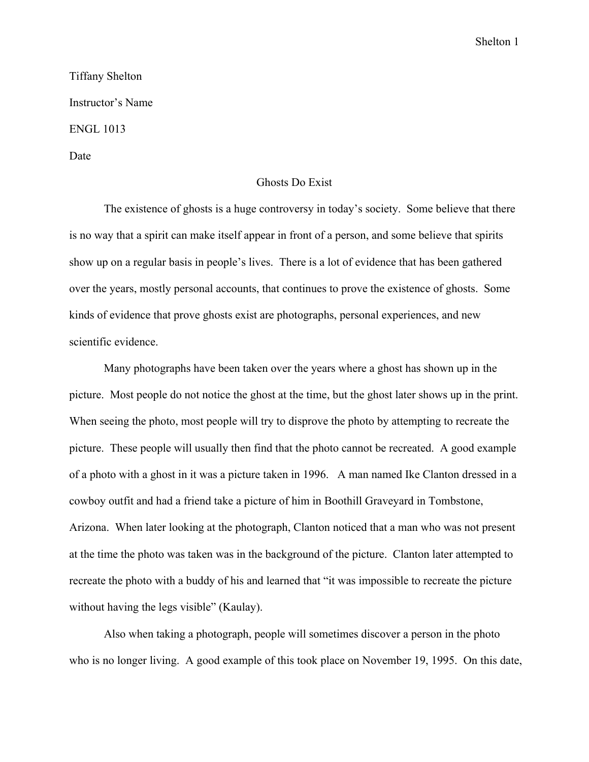Tiffany Shelton Instructor's Name ENGL 1013 Date

## Ghosts Do Exist

The existence of ghosts is a huge controversy in today's society. Some believe that there is no way that a spirit can make itself appear in front of a person, and some believe that spirits show up on a regular basis in people's lives. There is a lot of evidence that has been gathered over the years, mostly personal accounts, that continues to prove the existence of ghosts. Some kinds of evidence that prove ghosts exist are photographs, personal experiences, and new scientific evidence.

Many photographs have been taken over the years where a ghost has shown up in the picture. Most people do not notice the ghost at the time, but the ghost later shows up in the print. When seeing the photo, most people will try to disprove the photo by attempting to recreate the picture. These people will usually then find that the photo cannot be recreated. A good example of a photo with a ghost in it was a picture taken in 1996. A man named Ike Clanton dressed in a cowboy outfit and had a friend take a picture of him in Boothill Graveyard in Tombstone, Arizona. When later looking at the photograph, Clanton noticed that a man who was not present at the time the photo was taken was in the background of the picture. Clanton later attempted to recreate the photo with a buddy of his and learned that "it was impossible to recreate the picture without having the legs visible" (Kaulay).

Also when taking a photograph, people will sometimes discover a person in the photo who is no longer living. A good example of this took place on November 19, 1995. On this date,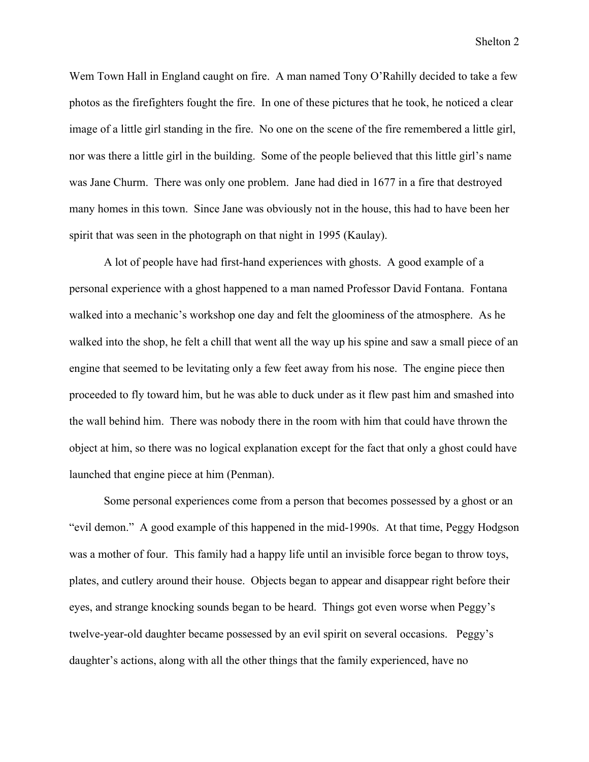Wem Town Hall in England caught on fire. A man named Tony O'Rahilly decided to take a few photos as the firefighters fought the fire. In one of these pictures that he took, he noticed a clear image of a little girl standing in the fire. No one on the scene of the fire remembered a little girl, nor was there a little girl in the building. Some of the people believed that this little girl's name was Jane Churm. There was only one problem. Jane had died in 1677 in a fire that destroyed many homes in this town. Since Jane was obviously not in the house, this had to have been her spirit that was seen in the photograph on that night in 1995 (Kaulay).

A lot of people have had first-hand experiences with ghosts. A good example of a personal experience with a ghost happened to a man named Professor David Fontana. Fontana walked into a mechanic's workshop one day and felt the gloominess of the atmosphere. As he walked into the shop, he felt a chill that went all the way up his spine and saw a small piece of an engine that seemed to be levitating only a few feet away from his nose. The engine piece then proceeded to fly toward him, but he was able to duck under as it flew past him and smashed into the wall behind him. There was nobody there in the room with him that could have thrown the object at him, so there was no logical explanation except for the fact that only a ghost could have launched that engine piece at him (Penman).

Some personal experiences come from a person that becomes possessed by a ghost or an "evil demon." A good example of this happened in the mid-1990s. At that time, Peggy Hodgson was a mother of four. This family had a happy life until an invisible force began to throw toys, plates, and cutlery around their house. Objects began to appear and disappear right before their eyes, and strange knocking sounds began to be heard. Things got even worse when Peggy's twelve-year-old daughter became possessed by an evil spirit on several occasions. Peggy's daughter's actions, along with all the other things that the family experienced, have no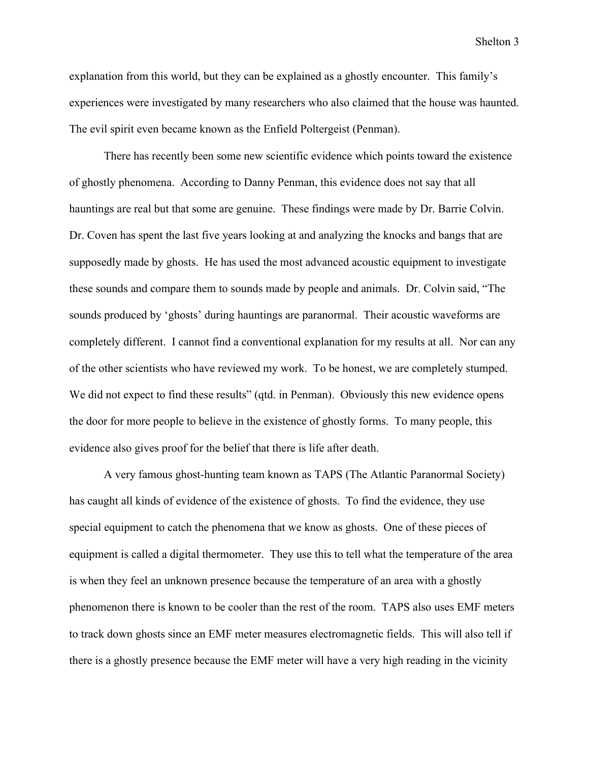explanation from this world, but they can be explained as a ghostly encounter. This family's experiences were investigated by many researchers who also claimed that the house was haunted. The evil spirit even became known as the Enfield Poltergeist (Penman).

There has recently been some new scientific evidence which points toward the existence of ghostly phenomena. According to Danny Penman, this evidence does not say that all hauntings are real but that some are genuine. These findings were made by Dr. Barrie Colvin. Dr. Coven has spent the last five years looking at and analyzing the knocks and bangs that are supposedly made by ghosts. He has used the most advanced acoustic equipment to investigate these sounds and compare them to sounds made by people and animals. Dr. Colvin said, "The sounds produced by 'ghosts' during hauntings are paranormal. Their acoustic waveforms are completely different. I cannot find a conventional explanation for my results at all. Nor can any of the other scientists who have reviewed my work. To be honest, we are completely stumped. We did not expect to find these results" (qtd. in Penman). Obviously this new evidence opens the door for more people to believe in the existence of ghostly forms. To many people, this evidence also gives proof for the belief that there is life after death.

A very famous ghost-hunting team known as TAPS (The Atlantic Paranormal Society) has caught all kinds of evidence of the existence of ghosts. To find the evidence, they use special equipment to catch the phenomena that we know as ghosts. One of these pieces of equipment is called a digital thermometer. They use this to tell what the temperature of the area is when they feel an unknown presence because the temperature of an area with a ghostly phenomenon there is known to be cooler than the rest of the room. TAPS also uses EMF meters to track down ghosts since an EMF meter measures electromagnetic fields. This will also tell if there is a ghostly presence because the EMF meter will have a very high reading in the vicinity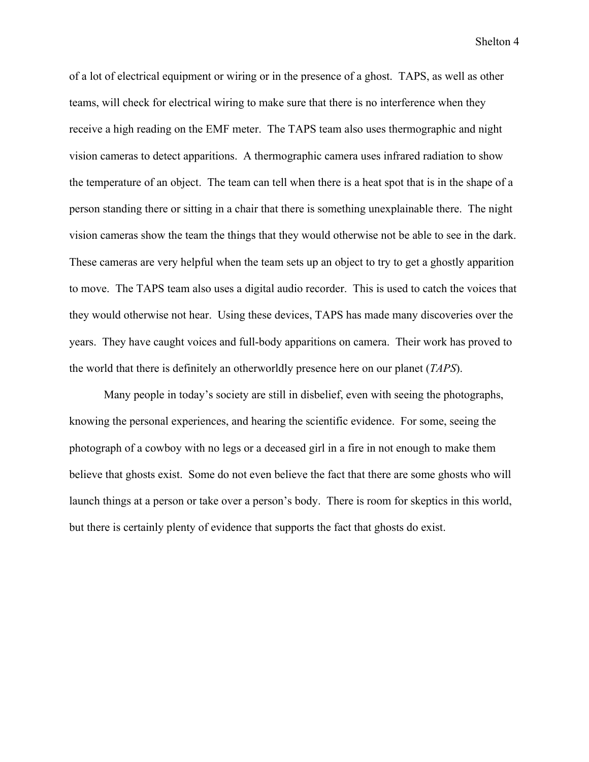of a lot of electrical equipment or wiring or in the presence of a ghost. TAPS, as well as other teams, will check for electrical wiring to make sure that there is no interference when they receive a high reading on the EMF meter. The TAPS team also uses thermographic and night vision cameras to detect apparitions. A thermographic camera uses infrared radiation to show the temperature of an object. The team can tell when there is a heat spot that is in the shape of a person standing there or sitting in a chair that there is something unexplainable there. The night vision cameras show the team the things that they would otherwise not be able to see in the dark. These cameras are very helpful when the team sets up an object to try to get a ghostly apparition to move. The TAPS team also uses a digital audio recorder. This is used to catch the voices that they would otherwise not hear. Using these devices, TAPS has made many discoveries over the years. They have caught voices and full-body apparitions on camera. Their work has proved to the world that there is definitely an otherworldly presence here on our planet (*TAPS*).

Many people in today's society are still in disbelief, even with seeing the photographs, knowing the personal experiences, and hearing the scientific evidence. For some, seeing the photograph of a cowboy with no legs or a deceased girl in a fire in not enough to make them believe that ghosts exist. Some do not even believe the fact that there are some ghosts who will launch things at a person or take over a person's body. There is room for skeptics in this world, but there is certainly plenty of evidence that supports the fact that ghosts do exist.